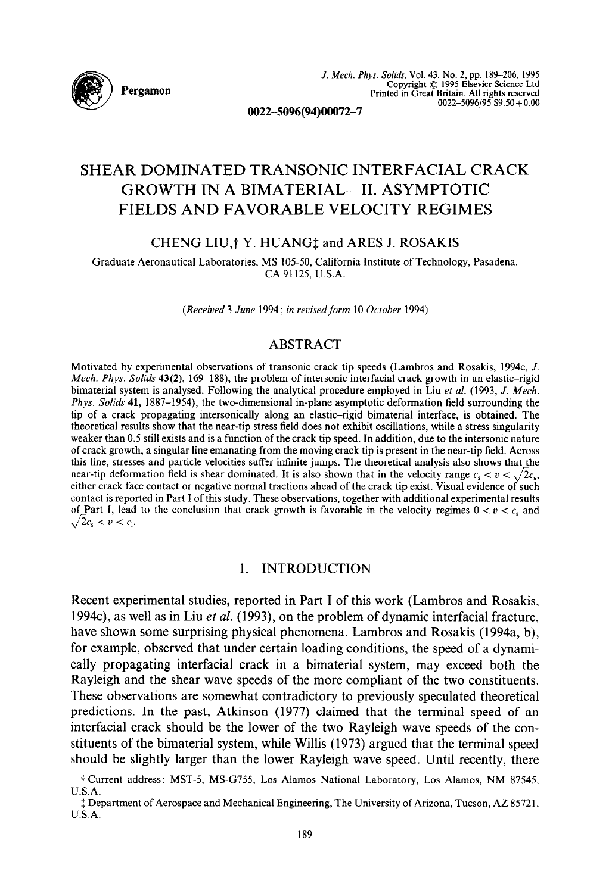

# SHEAR DOMINATED TRANSONIC INTERFACIAL CRACK GROWTH IN A BIMATERIAL-II. ASYMPTOTIC FIELDS AND FAVORABLE VELOCITY REGIMES

# CHENG LIU,<sup>†</sup> Y. HUANG<sup>†</sup> and ARES J. ROSAKIS

Graduate Aeronautical Laboratories, MS 105-50, California Institute of Technology, Pasadena, CA 91125. U.S.A.

*(Received 3 June 1994; in revised form 10 October 1994)* 

# **ABSTRACT**

Motivated by experimental observations of transonic crack tip speeds (Lambros and Rosakis, 1994c, J. Mech. Phys. Solids 43(2), 169-188), the problem of intersonic interfacial crack growth in an elastic-rigid bimaterial system is analysed. Following the analytical procedure employed in Liu ef al. (1993, J. *Mech.*  Phys. *Solids* 41, 1887-1954), the two-dimensional in-plane asymptotic deformation field surrounding the tip of a crack propagating intersonically along an elastic-rigid bimaterial interface, is obtained. The theoretical results show that the near-tip stress field does not exhibit oscillations, while a stress singularity weaker than 0.5 still exists and is a function of the crack tip speed. In addition, due to the intersonic nature of crack growth, a singular line emanating from the moving crack tip is present in the near-tip field. Across this line, stresses and particle velocities suffer infinite jumps. The theoretical analysis also shows that the near-tip deformation field is shear dominated. It is also shown that in the velocity range  $c_s < v < \sqrt{2c_s}$ , either crack face contact or negative normal tractions ahead of the crack tip exist. Visual evidence of such contact is reported in Part I of this study. These observations, together with additional experimental results of Part I, lead to the conclusion that crack growth is favorable in the velocity regimes  $0 < v < c$ , and  $\sqrt{2c_s} < v < c_1$ .

#### 1. INTRODUCTION

Recent experimental studies, reported in Part I of this work (Lambros and Rosakis, 1994c), as well as in Liu *et al.* (1993), on the problem of dynamic interfacial fracture, have shown some surprising physical phenomena. Lambros and Rosakis (1994a, b), for example, observed that under certain loading conditions, the speed of a dynamically propagating interfacial crack in a bimaterial system, may exceed both the Rayleigh and the shear wave speeds of the more compliant of the two constituents. These observations are somewhat contradictory to previously speculated theoretical predictions. In the past, Atkinson (1977) claimed that the terminal speed of an interfacial crack should be the lower of the two Rayleigh wave speeds of the constituents of the bimaterial system, while Willis (1973) argued that the terminal speed should be slightly larger than the lower Rayleigh wave speed. Until recently, there

TCurrent address: MST-5, MSG755, Los Alamos National Laboratory, Los Alamos, NM 87545, U.S.A.

<sup>\$</sup> Department of Aerospace and Mechanical Engineering, The University of Arizona, Tucson, AZ 85721, U.S.A.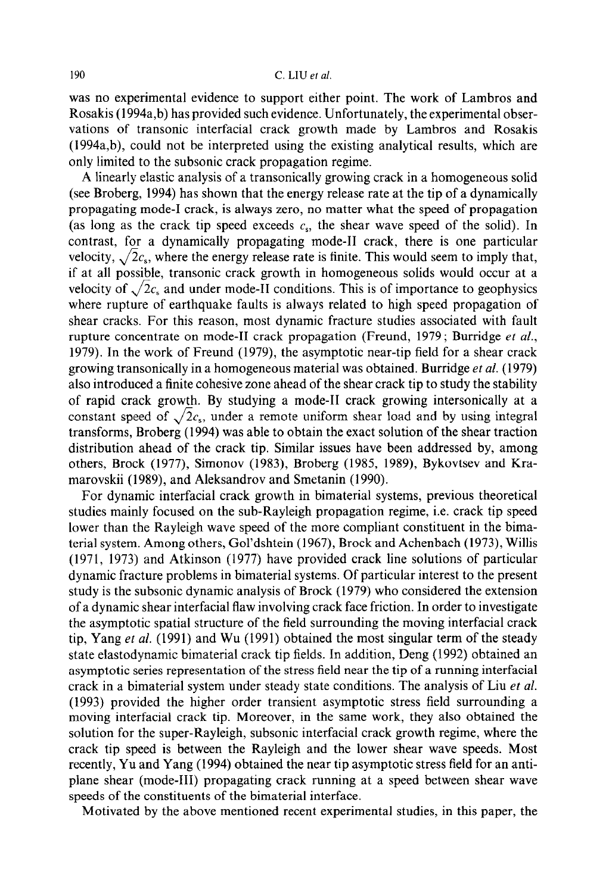was no experimental evidence to support either point. The work of Lambros and Rosakis (1994a,b) has provided such evidence. Unfortunately, the experimental observations of transonic interfacial crack growth made by Lambros and Rosakis (1994a,b), could not be interpreted using the existing analytical results, which are only limited to the subsonic crack propagation regime.

A linearly elastic analysis of a transonically growing crack in a homogeneous solid (see Broberg, 1994) has shown that the energy release rate at the tip of a dynamically propagating mode-1 crack, is always zero, no matter what the speed of propagation (as long as the crack tip speed exceeds  $c_s$ , the shear wave speed of the solid). In contrast, for a dynamically propagating mode-II crack, there is one particular velocity,  $\sqrt{2}c_s$ , where the energy release rate is finite. This would seem to imply that, if at all possible, transonic crack growth in homogeneous solids would occur at a velocity of  $\sqrt{2c_s}$  and under mode-II conditions. This is of importance to geophysics where rupture of earthquake faults is always related to high speed propagation of shear cracks. For this reason, most dynamic fracture studies associated with fault rupture concentrate on mode-II crack propagation (Freund, 1979; Burridge *et al.,*  1979). In the work of Freund (1979) the asymptotic near-tip field for a shear crack growing transonically in a homogeneous material was obtained. Burridge *et al.* (1979) also introduced a finite cohesive zone ahead of the shear crack tip to study the stability of rapid crack growth. By studying a mode-II crack growing intersonically at a constant speed of  $\sqrt{2}c_s$ , under a remote uniform shear load and by using integral transforms, Broberg (1994) was able to obtain the exact solution of the shear traction distribution ahead of the crack tip. Similar issues have been addressed by, among others, Brock (1977), Simonov (1983), Broberg (1985, 1989), Bykovtsev and Kramarovskii (1989), and Aleksandrov and Smetanin (1990).

For dynamic interfacial crack growth in bimaterial systems, previous theoretical studies mainly focused on the sub-Rayleigh propagation regime, i.e. crack tip speed lower than the Rayleigh wave speed of the more compliant constituent in the bimaterial system. Among others, Gol'dshtein (1967), Brock and Achenbach (1973), Willis (1971, 1973) and Atkinson (1977) have provided crack line solutions of particular dynamic fracture problems in bimaterial systems. Of particular interest to the present study is the subsonic dynamic analysis of Brock (1979) who considered the extension of a dynamic shear interfacial flaw involving crack face friction. In order to investigate the asymptotic spatial structure of the field surrounding the moving interfacial crack tip, Yang et al. (1991) and Wu (1991) obtained the most singular term of the steady state elastodynamic bimaterial crack tip fields. In addition, Deng (1992) obtained an asymptotic series representation of the stress field near the tip of a running interfacial crack in a bimaterial system under steady state conditions. The analysis of Liu et al. (1993) provided the higher order transient asymptotic stress field surrounding a moving interfacial crack tip. Moreover, in the same work, they also obtained the solution for the super-Rayleigh, subsonic interfacial crack growth regime, where the crack tip speed is between the Rayleigh and the lower shear wave speeds. Most recently, Yu and Yang (1994) obtained the near tip asymptotic stress field for an antiplane shear (mode-III) propagating crack running at a speed between shear wave speeds of the constituents of the bimaterial interface.

Motivated by the above mentioned recent experimental studies, in this paper, the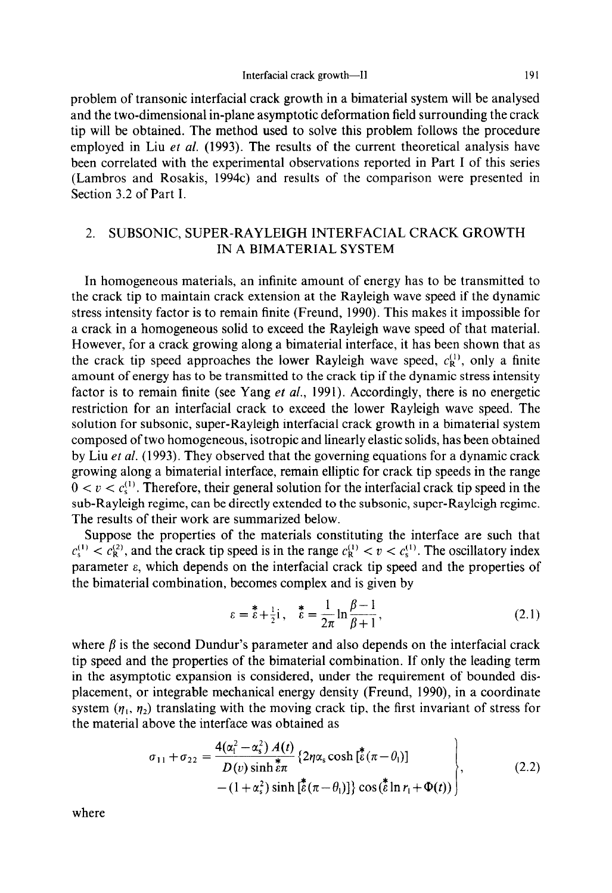problem of transonic interfacial crack growth in a bimaterial system will be analysed and the two-dimensional in-plane asymptotic deformation field surrounding the crack tip will be obtained. The method used to solve this problem follows the procedure employed in Liu *et al.* (1993). The results of the current theoretical analysis have been correlated with the experimental observations reported in Part I of this series (Lambros and Rosakis, 1994c) and results of the comparison were presented in Section 3.2 of Part I.

# 2. SUBSONIC, SUPER-RAYLEIGH INTERFACIAL CRACK GROWTH IN A BIMATERIAL SYSTEM

In homogeneous materials, an infinite amount of energy has to be transmitted to the crack tip to maintain crack extension at the Rayleigh wave speed if the dynamic stress intensity factor is to remain finite (Freund, 1990). This makes it impossible for a crack in a homogeneous solid to exceed the Rayleigh wave speed of that material. However, for a crack growing along a bimaterial interface, it has been shown that as the crack tip speed approaches the lower Rayleigh wave speed,  $c_R^{(1)}$ , only a finite amount of energy has to be transmitted to the crack tip if the dynamic stress intensity factor is to remain finite (see Yang *et al.,* 1991). Accordingly, there is no energetic restriction for an interfacial crack to exceed the lower Rayleigh wave speed. The solution for subsonic, super-Rayleigh interfacial crack growth in a bimaterial system composed of two homogeneous, isotropic and linearly elastic solids, has been obtained by Liu *et al.* (1993). They observed that the governing equations for a dynamic crack growing along a bimaterial interface, remain elliptic for crack tip speeds in the range  $0 < v < c<sub>s</sub>(t)$ . Therefore, their general solution for the interfacial crack tip speed in the sub-Rayleigh regime, can be directly extended to the subsonic, super-Rayleigh regime. The results of their work are summarized below.

Suppose the properties of the materials constituting the interface are such that  $c_s^{(1)} < c_R^{(2)}$ , and the crack tip speed is in the range  $c_R^{(1)} < v < c_s^{(1)}$ . The oscillatory index parameter  $\varepsilon$ , which depends on the interfacial crack tip speed and the properties of the bimaterial combination, becomes complex and is given by

$$
\varepsilon = \mathring{\varepsilon} + \frac{1}{2}i \,, \quad \mathring{\varepsilon} = \frac{1}{2\pi} \ln \frac{\beta - 1}{\beta + 1} \,, \tag{2.1}
$$

where  $\beta$  is the second Dundur's parameter and also depends on the interfacial crack tip speed and the properties of the bimaterial combination. If only the leading term in the asymptotic expansion is considered, under the requirement of bounded displacement, or integrable mechanical energy density (Freund, 1990), in a coordinate system  $(n_1, n_2)$  translating with the moving crack tip, the first invariant of stress for the material above the interface was obtained as

$$
\sigma_{11} + \sigma_{22} = \frac{4(\alpha_1^2 - \alpha_s^2) A(t)}{D(v) \sinh \frac{\pi}{6\pi}} \left\{ 2\eta \alpha_s \cosh \left[ \frac{\pi}{6} (\pi - \theta_1) \right] - (1 + \alpha_s^2) \sinh \left[ \frac{\pi}{6} (\pi - \theta_1) \right] \right\} \cos \left( \frac{\pi}{6} \ln r_1 + \Phi(t) \right) \right\}, \tag{2.2}
$$

where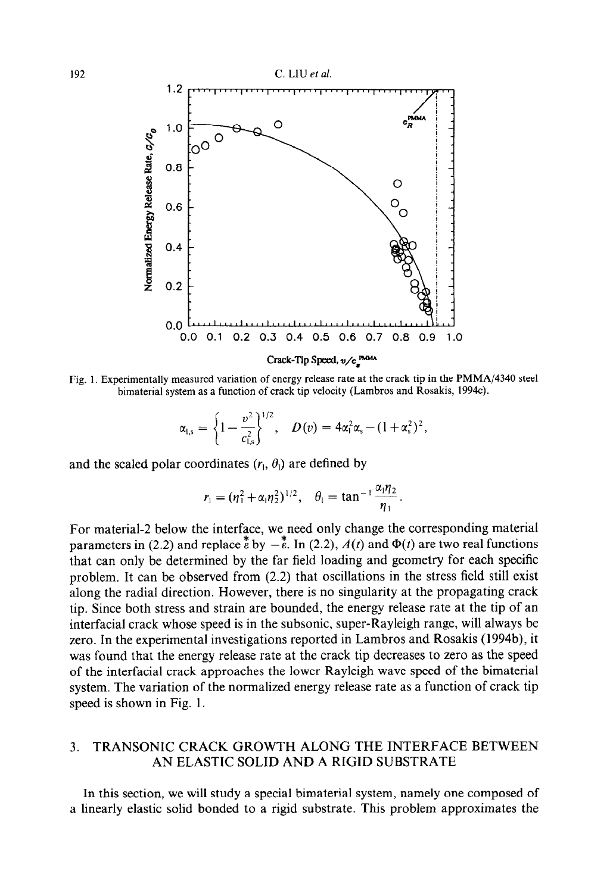

Fig. 1. Experimentally measured variation of energy release rate at the crack tip in the PMMA/4340 steel bimaterial system as a function of crack tip velocity (Lambros and Rosakis, 1994c).

$$
\alpha_{l,s} = \left\{1 - \frac{v^2}{c_{l,s}^2}\right\}^{1/2}, \quad D(v) = 4\alpha_l^2 \alpha_s - (1 + \alpha_s^2)^2,
$$

and the scaled polar coordinates  $(r_1, \theta_1)$  are defined by

$$
r_1 = (\eta_1^2 + \alpha_1 \eta_2^2)^{1/2}, \quad \theta_1 = \tan^{-1} \frac{\alpha_1 \eta_2}{\eta_1}.
$$

For material-2 below the interface, we need only change the corresponding material parameters in (2.2) and replace  $\stackrel{*}{\epsilon}$  by  $-\stackrel{*}{\epsilon}$ . In (2.2),  $A(t)$  and  $\Phi(t)$  are two real functions that can only be determined by the far field loading and geometry for each specific problem. It can be observed from (2.2) that oscillations in the stress field still exist along the radial direction. However, there is no singularity at the propagating crack tip. Since both stress and strain are bounded, the energy release rate at the tip of an interfacial crack whose speed is in the subsonic, super-Rayleigh range, will always be zero. In the experimental investigations reported in Lambros and Rosakis (1994b), it was found that the energy release rate at the crack tip decreases to zero as the speed of the interfacial crack approaches the lower Rayleigh wave speed of the bimaterial system. The variation of the normalized energy release rate as a function of crack tip speed is shown in Fig. 1.

# 3. TRANSONIC CRACK GROWTH ALONG THE INTERFACE BETWEEN AN ELASTIC SOLID AND A RIGID SUBSTRATE

In this section, we will study a special bimaterial system, namely one composed of a linearly elastic solid bonded to a rigid substrate. This problem approximates the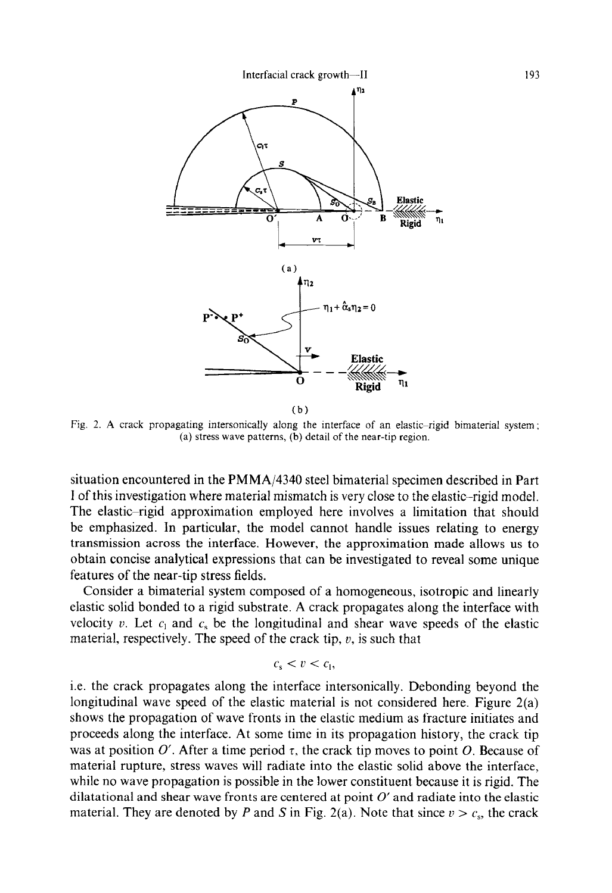

Fig. 2. A crack propagating intersonically along the interface of an elastic-rigid bimaterial system ; (a) stress wave patterns, (b) detail of the near-tip region.

situation encountered in the PMMA/4340 steel bimaterial specimen described in Part I of this investigation where material mismatch is very close to the elastic-rigid model. The elastic-rigid approximation employed here involves a limitation that should be emphasized. In particular, the model cannot handle issues relating to energy transmission across the interface. However, the approximation made allows us to obtain concise analytical expressions that can be investigated to reveal some unique features of the near-tip stress fields.

Consider a bimaterial system composed of a homogeneous, isotropic and linearly elastic solid bonded to a rigid substrate. A crack propagates along the interface with velocity v. Let  $c_1$  and  $c_5$  be the longitudinal and shear wave speeds of the elastic material, respectively. The speed of the crack tip,  $v$ , is such that

$$
c_{s} < v < c_{1},
$$

i.e. the crack propagates along the interface intersonically. Debonding beyond the longitudinal wave speed of the elastic material is not considered here. Figure 2(a) shows the propagation of wave fronts in the elastic medium as fracture initiates and proceeds along the interface. At some time in its propagation history, the crack tip was at position O'. After a time period  $\tau$ , the crack tip moves to point O. Because of material rupture, stress waves will radiate into the elastic solid above the interface, while no wave propagation is possible in the lower constituent because it is rigid. The dilatational and shear wave fronts are centered at point  $O'$  and radiate into the elastic material. They are denoted by *P* and *S* in Fig. 2(a). Note that since  $v > c_s$ , the crack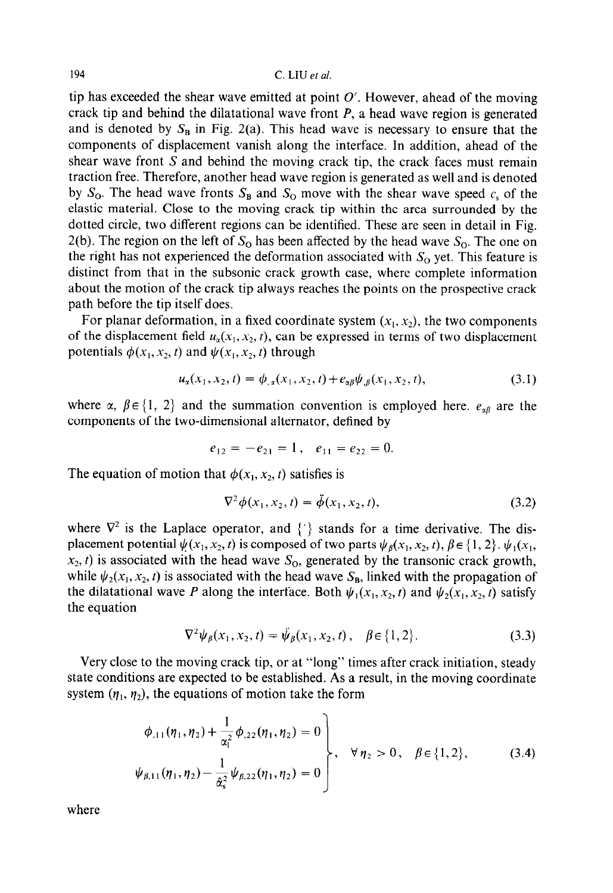tip has exceeded the shear wave emitted at point  $O'$ . However, ahead of the moving crack tip and behind the dilatational wave front *P,* a head wave region is generated and is denoted by  $S_B$  in Fig. 2(a). This head wave is necessary to ensure that the components of displacement vanish along the interface. In addition, ahead of the shear wave front  $S$  and behind the moving crack tip, the crack faces must remain traction free. Therefore, another head wave region is generated as well and is denoted by  $S_0$ . The head wave fronts  $S_B$  and  $S_O$  move with the shear wave speed  $c_s$  of the elastic material. Close to the moving crack tip within the area surrounded by the dotted circle, two different regions can be identified. These are seen in detail in Fig. 2(b). The region on the left of  $S<sub>o</sub>$  has been affected by the head wave  $S<sub>o</sub>$ . The one on the right has not experienced the deformation associated with  $S<sub>o</sub>$  yet. This feature is distinct from that in the subsonic crack growth case, where complete information about the motion of the crack tip always reaches the points on the prospective crack path before the tip itself does.

For planar deformation, in a fixed coordinate system  $(x_1, x_2)$ , the two components of the displacement field  $u_x(x_1, x_2, t)$ , can be expressed in terms of two displacement potentials  $\phi(x_1, x_2, t)$  and  $\psi(x_1, x_2, t)$  through

$$
u_{\alpha}(x_1, x_2, t) = \phi_{,\alpha}(x_1, x_2, t) + e_{\alpha\beta}\psi_{,\beta}(x_1, x_2, t),
$$
\n(3.1)

where  $\alpha$ ,  $\beta \in \{1, 2\}$  and the summation convention is employed here.  $e_{\alpha\beta}$  are the components of the two-dimensional alternator, defined by

$$
e_{12} = -e_{21} = 1
$$
,  $e_{11} = e_{22} = 0$ .

The equation of motion that  $\phi(x_1, x_2, t)$  satisfies is

$$
\nabla^2 \phi(x_1, x_2, t) = \ddot{\phi}(x_1, x_2, t), \tag{3.2}
$$

where  $\nabla^2$  is the Laplace operator, and  $\{\cdot\}$  stands for a time derivative. The displacement potential  $\psi(x_1, x_2, t)$  is composed of two parts  $\psi_\beta(x_1, x_2, t)$ ,  $\beta \in \{1, 2\}$ .  $\psi_1(x_1, t_2, t_3)$  $x_2$ , t) is associated with the head wave  $S_0$ , generated by the transonic crack growth, while  $\psi_2(x_1, x_2, t)$  is associated with the head wave  $S_B$ , linked with the propagation of the dilatational wave *P* along the interface. Both  $\psi_1(x_1, x_2, t)$  and  $\psi_2(x_1, x_2, t)$  satisfy the equation

$$
\nabla^2 \psi_{\beta}(x_1, x_2, t) = \psi_{\beta}(x_1, x_2, t), \quad \beta \in \{1, 2\}.
$$
 (3.3)

Very close to the moving crack tip, or at "long" times after crack initiation, steady state conditions are expected to be established. As a result, in the moving coordinate system  $(\eta_1, \eta_2)$ , the equations of motion take the form

$$
\begin{aligned}\n\phi_{,11}(\eta_1, \eta_2) + \frac{1}{\alpha_1^2} \phi_{,22}(\eta_1, \eta_2) &= 0 \\
\psi_{\beta,11}(\eta_1, \eta_2) - \frac{1}{\alpha_5^2} \psi_{\beta,22}(\eta_1, \eta_2) &= 0\n\end{aligned}\n\bigg\}, \quad \forall \eta_2 > 0, \quad \beta \in \{1, 2\},\n\tag{3.4}
$$

where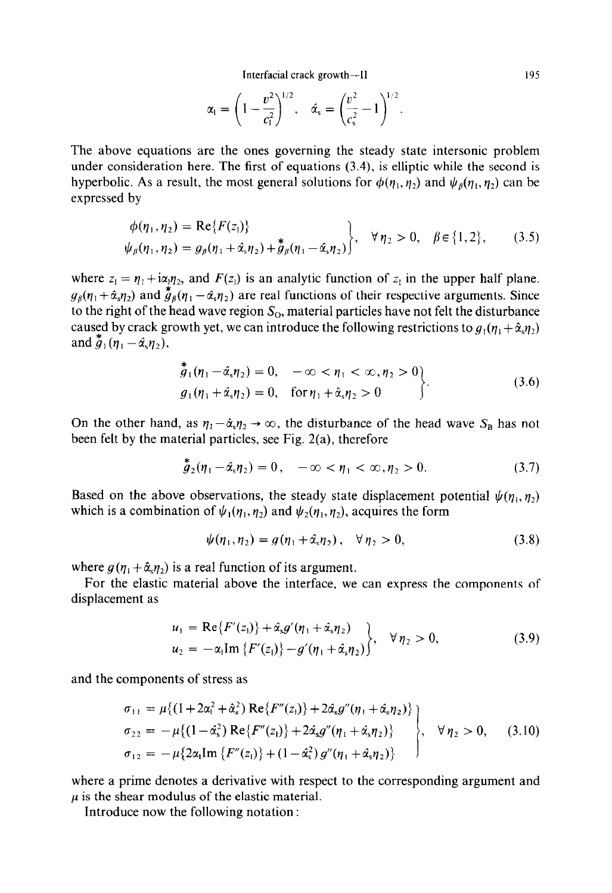Interfacial crack growth---II 195

$$
\alpha_1 = \left(1 - \frac{v^2}{c_1^2}\right)^{1/2}, \quad \hat{\alpha}_s = \left(\frac{v^2}{c_s^2} - 1\right)^{1/2}.
$$

The above equations are the ones governing the steady state intersonic problem under consideration here. The first of equations (3.4), is elliptic while the second is hyperbolic. As a result, the most general solutions for  $\phi(\eta_1, \eta_2)$  and  $\psi_\beta(\eta_1, \eta_2)$  can be expressed by

$$
\begin{aligned}\n\phi(\eta_1, \eta_2) &= \text{Re}\{F(z_1)\} \\
\psi_\beta(\eta_1, \eta_2) &= g_\beta(\eta_1 + \hat{\alpha}_s \eta_2) + \hat{g}_\beta(\eta_1 - \hat{\alpha}_s \eta_2)\n\end{aligned}\n\bigg\}, \quad \forall \, \eta_2 > 0, \quad \beta \in \{1, 2\},\n\tag{3.5}
$$

where  $z_1 = \eta_1 + i\alpha_1\eta_2$ , and  $F(z_1)$  is an analytic function of  $z_1$  in the upper half plane.  $g_{\beta}(\eta_1 + \hat{\alpha}_s \eta_2)$  and  $\stackrel{*}{g}_{\beta}(\eta_1 - \hat{\alpha}_s \eta_2)$  are real functions of their respective arguments. Since to the right of the head wave region  $S_0$ , material particles have not felt the disturbance caused by crack growth yet, we can introduce the following restrictions to  $g_1(\eta_1 + \hat{\alpha}_s \eta_2)$ and  $\stackrel{*}{g}_1$  ( $\eta_1 - \hat{\alpha}_s \eta_2$ ),

$$
\begin{aligned}\n\tilde{g}_1(\eta_1 - \hat{\alpha}_s \eta_2) &= 0, & -\infty < \eta_1 < \infty, \eta_2 > 0 \\
g_1(\eta_1 + \hat{\alpha}_s \eta_2) &= 0, & \text{for } \eta_1 + \hat{\alpha}_s \eta_2 > 0\n\end{aligned} \tag{3.6}
$$

On the other hand, as  $\eta_1 - \hat{\alpha}_s \eta_2 \rightarrow \infty$ , the disturbance of the head wave  $S_B$  has not been felt by the material particles, see Fig. 2(a), therefore

$$
\stackrel{\ast}{g}_2(\eta_1 - \hat{\alpha}_s \eta_2) = 0, \quad -\infty < \eta_1 < \infty, \eta_2 > 0. \tag{3.7}
$$

Based on the above observations, the steady state displacement potential  $\psi(n_1, n_2)$ which is a combination of  $\psi_1(\eta_1, \eta_2)$  and  $\psi_2(\eta_1, \eta_2)$ , acquires the form

$$
\psi(\eta_1, \eta_2) = g(\eta_1 + \hat{\alpha}_s \eta_2), \quad \forall \eta_2 > 0,
$$
\n(3.8)

where  $g(\eta_1 + \hat{\alpha}_s \eta_2)$  is a real function of its argument.

ä.

For the elastic material above the interface, we can express the components of displacement as

$$
u_1 = \text{Re}\{F'(z_1)\} + \hat{\alpha}_s g'(\eta_1 + \hat{\alpha}_s \eta_2) u_2 = -\alpha_1 \text{Im}\{F'(z_1)\} - g'(\eta_1 + \hat{\alpha}_s \eta_2)\}, \quad \forall \eta_2 > 0,
$$
 (3.9)

and the components of stress as

$$
\sigma_{11} = \mu \{ (1 + 2\alpha_1^2 + \hat{\alpha}_s^2) \operatorname{Re} \{ F''(z_1) \} + 2\hat{\alpha}_s g''(\eta_1 + \hat{\alpha}_s \eta_2) \}
$$
\n
$$
\sigma_{22} = -\mu \{ (1 - \hat{\alpha}_s^2) \operatorname{Re} \{ F''(z_1) \} + 2\hat{\alpha}_s g''(\eta_1 + \hat{\alpha}_s \eta_2) \}
$$
\n
$$
\sigma_{12} = -\mu \{ 2\alpha_1 \operatorname{Im} \{ F''(z_1) \} + (1 - \hat{\alpha}_s^2) g''(\eta_1 + \hat{\alpha}_s \eta_2) \}
$$
\n
$$
(3.10)
$$

where a prime denotes a derivative with respect to the corresponding argument and  $\mu$  is the shear modulus of the elastic material.

Introduce now the following notation :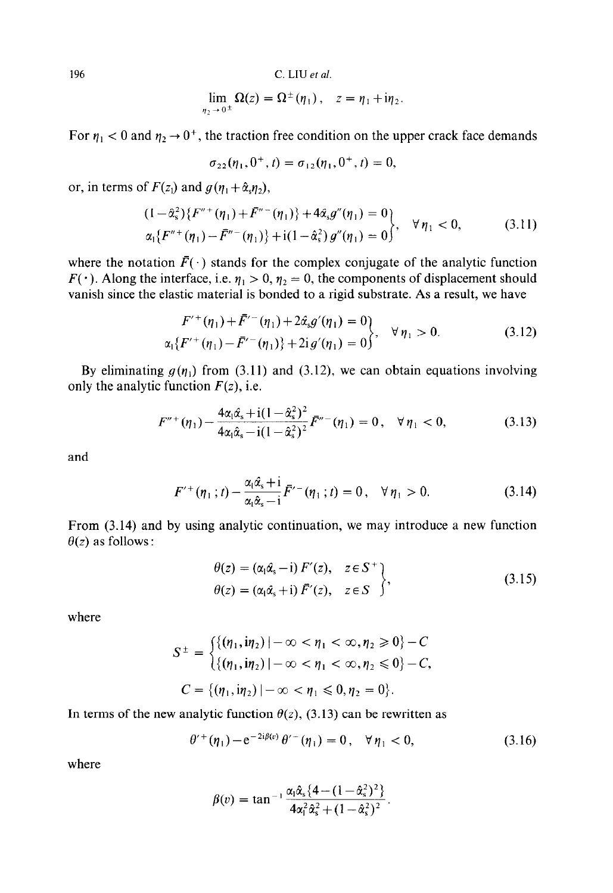$$
\lim_{\eta_2 \to 0^{\pm}} \Omega(z) = \Omega^{\pm}(\eta_1), \quad z = \eta_1 + i\eta_2.
$$

For  $\eta_1$  < 0 and  $\eta_2 \rightarrow 0^+$ , the traction free condition on the upper crack face demands

$$
\sigma_{22}(\eta_1, 0^+, t) = \sigma_{12}(\eta_1, 0^+, t) = 0,
$$

or, in terms of  $F(z_1)$  and  $g(\eta_1 + \hat{\alpha}_s \eta_2)$ ,

$$
(1 - \hat{\alpha}_s^2) \{ F''^+(\eta_1) + \bar{F}''^-(\eta_1) \} + 4\hat{\alpha}_s g''(\eta_1) = 0 \}\alpha_1 \{ F''^+(\eta_1) - \bar{F}''^-(\eta_1) \} + i(1 - \hat{\alpha}_s^2) g''(\eta_1) = 0 \}, \quad \forall \eta_1 < 0,
$$
\n(3.11)

where the notation  $\bar{F}(\cdot)$  stands for the complex conjugate of the analytic function  $F(\cdot)$ . Along the interface, i.e.  $\eta_1 > 0$ ,  $\eta_2 = 0$ , the components of displacement should vanish since the elastic material is bonded to a rigid substrate. As a result, we have

$$
F^{\prime +}(\eta_1) + \bar{F}^{\prime -}(\eta_1) + 2\hat{\alpha}_s g^{\prime}(\eta_1) = 0
$$
  

$$
\alpha_1 \{ F^{\prime +}(\eta_1) - \bar{F}^{\prime -}(\eta_1) \} + 2ig^{\prime}(\eta_1) = 0 \}, \quad \forall \eta_1 > 0.
$$
 (3.12)

By eliminating  $g(\eta_1)$  from (3.11) and (3.12), we can obtain equations involving only the analytic function  $F(z)$ , i.e.

$$
F''^{+}(\eta_1) - \frac{4\alpha_1\hat{\alpha}_s + i(1-\hat{\alpha}_s^2)^2}{4\alpha_1\hat{\alpha}_s - i(1-\hat{\alpha}_s^2)^2} F''^{-}(\eta_1) = 0, \quad \forall \eta_1 < 0,\tag{3.13}
$$

and

$$
F^{\prime+}(\eta_1;t) - \frac{\alpha_1 \hat{\alpha}_s + i}{\alpha_1 \hat{\alpha}_s - i} \bar{F}^{\prime-}(\eta_1;t) = 0, \quad \forall \eta_1 > 0. \tag{3.14}
$$

From (3.14) and by using analytic continuation, we may introduce a new function  $\theta(z)$  as follows :

$$
\theta(z) = (\alpha_1 \hat{\alpha}_s - i) F'(z), \quad z \in S^+ \n\theta(z) = (\alpha_1 \hat{\alpha}_s + i) \bar{F}'(z), \quad z \in S^-
$$
\n(3.15)

where

$$
S^{\pm} = \begin{cases} \{(\eta_1, i\eta_2) \mid -\infty < \eta_1 < \infty, \eta_2 \ge 0\} - C \\ \{(\eta_1, i\eta_2) \mid -\infty < \eta_1 < \infty, \eta_2 \le 0\} - C, \end{cases}
$$
\n
$$
C = \{(\eta_1, i\eta_2) \mid -\infty < \eta_1 \le 0, \eta_2 = 0\}.
$$

In terms of the new analytic function  $\theta(z)$ , (3.13) can be rewritten as

$$
\theta^{\prime +}(\eta_1) - e^{-2i\beta(v)} \theta^{\prime -}(\eta_1) = 0, \quad \forall \eta_1 < 0,\tag{3.16}
$$

where

$$
\beta(v) = \tan^{-1} \frac{\alpha_1 \hat{\alpha}_s \{4 - (1 - \hat{\alpha}_s^2)^2\}}{4\alpha_1^2 \hat{\alpha}_s^2 + (1 - \hat{\alpha}_s^2)^2}.
$$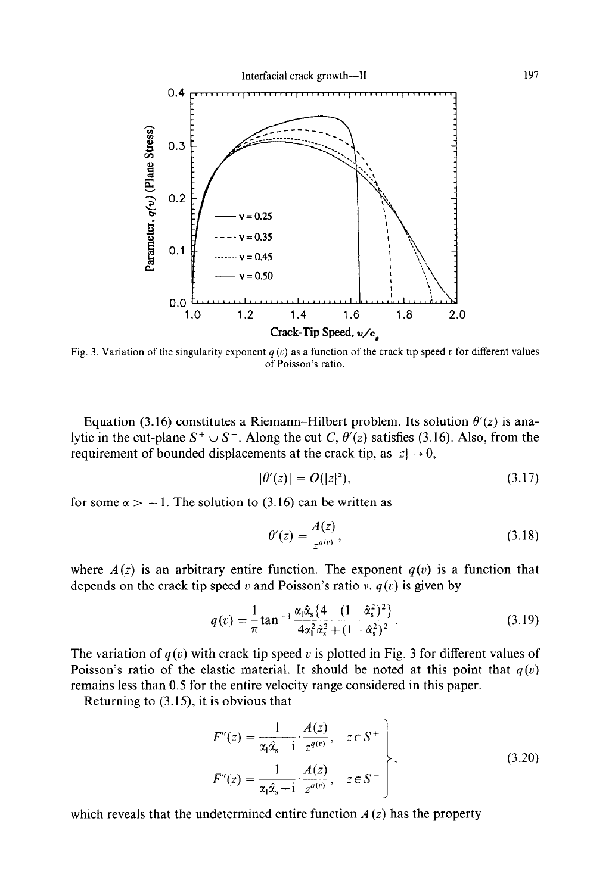

Fig. 3. Variation of the singularity exponent  $q(v)$  as a function of the crack tip speed v for different values of Poisson's ratio.

Equation (3.16) constitutes a Riemann–Hilbert problem. Its solution  $\theta'(z)$  is analytic in the cut-plane  $S^+ \cup S^-$ . Along the cut C,  $\theta'(z)$  satisfies (3.16). Also, from the requirement of bounded displacements at the crack tip, as  $|z| \rightarrow 0$ ,

$$
|\theta'(z)| = O(|z|^*)\tag{3.17}
$$

for some  $\alpha > -1$ . The solution to (3.16) can be written as

$$
\theta'(z) = \frac{A(z)}{z^{q(v)}},\tag{3.18}
$$

where  $A(z)$  is an arbitrary entire function. The exponent  $q(v)$  is a function that depends on the crack tip speed v and Poisson's ratio v.  $q(v)$  is given by

$$
q(v) = \frac{1}{\pi} \tan^{-1} \frac{\alpha_1 \hat{\alpha}_s \{4 - (1 - \hat{\alpha}_s^2)^2\}}{4\alpha_1^2 \hat{\alpha}_s^2 + (1 - \hat{\alpha}_s^2)^2}.
$$
 (3.19)

The variation of  $q(v)$  with crack tip speed v is plotted in Fig. 3 for different values of Poisson's ratio of the elastic material. It should be noted at this point that  $q(v)$ remains less than 0.5 for the entire velocity range considered in this paper.

Returning to (3.15), it is obvious that

$$
F''(z) = \frac{1}{\alpha_1 \hat{\alpha}_s - i} \cdot \frac{A(z)}{z^{q(v)}}, \quad z \in S^+ \qquad \qquad (3.20)
$$
  

$$
\bar{F}''(z) = \frac{1}{\alpha_1 \hat{\alpha}_s + i} \cdot \frac{A(z)}{z^{q(v)}}, \quad z \in S^- \qquad \qquad (3.20)
$$

which reveals that the undetermined entire function  $A(z)$  has the property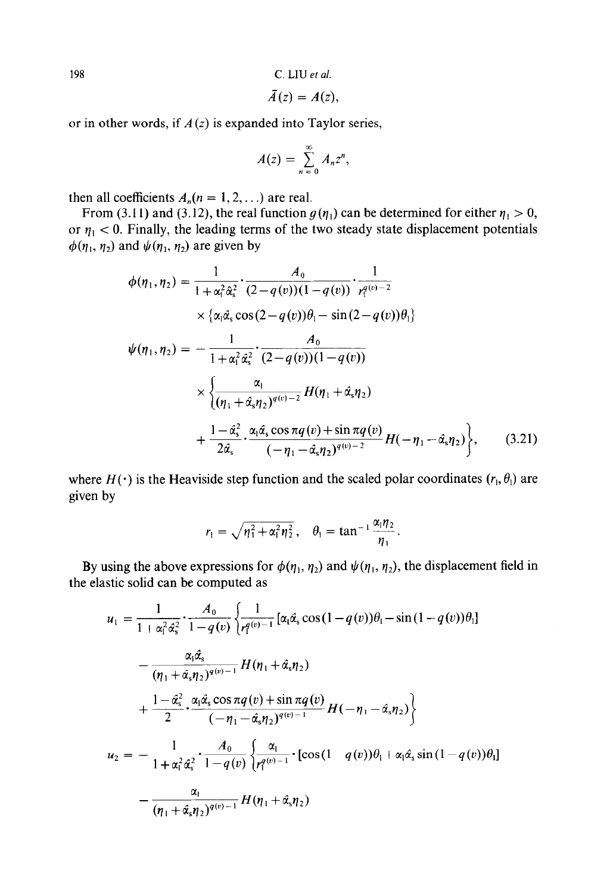$$
\bar{A}(z)=A(z),
$$

or in other words, if  $A(z)$  is expanded into Taylor series,

$$
A(z)=\sum_{n=0}^{\infty}A_nz^n,
$$

then all coefficients  $A_n(n = 1, 2, ...)$  are real.

From (3.11) and (3.12), the real function  $g(\eta_1)$  can be determined for either  $\eta_1 > 0$ , or  $\eta_1$  < 0. Finally, the leading terms of the two steady state displacement potentials  $\phi(\eta_1, \eta_2)$  and  $\psi(\eta_1, \eta_2)$  are given by

$$
\phi(\eta_1, \eta_2) = \frac{1}{1 + \alpha_1^2 \hat{\alpha}_s^2} \cdot \frac{A_0}{(2 - q(v))(1 - q(v))} \cdot \frac{1}{r_1^{q(v)-2}} \times \{\alpha_1 \hat{\alpha}_s \cos(2 - q(v))\theta_1 - \sin(2 - q(v))\theta_1\} \n\psi(\eta_1, \eta_2) = -\frac{1}{1 + \alpha_1^2 \hat{\alpha}_s^2} \cdot \frac{A_0}{(2 - q(v))(1 - q(v))} \times \left\{\frac{\alpha_1}{(\eta_1 + \hat{\alpha}_s \eta_2)^{q(v)-2}} H(\eta_1 + \hat{\alpha}_s \eta_2) + \frac{1 - \hat{\alpha}_s^2}{2\hat{\alpha}_s} \cdot \frac{\alpha_1 \hat{\alpha}_s \cos \pi q(v) + \sin \pi q(v)}{(-\eta_1 - \hat{\alpha}_s \eta_2)^{q(v)-2}} H(-\eta_1 - \hat{\alpha}_s \eta_2)\right\},
$$
\n(3.21)

where  $H(\cdot)$  is the Heaviside step function and the scaled polar coordinates ( $r_1, \theta_1$ ) are given by

$$
r_1 = \sqrt{\eta_1^2 + \alpha_1^2 \eta_2^2}
$$
,  $\theta_1 = \tan^{-1} \frac{\alpha_1 \eta_2}{\eta_1}$ .

By using the above expressions for  $\phi(\eta_1, \eta_2)$  and  $\psi(\eta_1, \eta_2)$ , the displacement field in the elastic solid can be computed as

$$
u_{1} = \frac{1}{1 + \alpha_{1}^{2} \alpha_{s}^{2}} \cdot \frac{A_{0}}{1 - q(v)} \left\{ \frac{1}{r_{1}^{q(v)-1}} [\alpha_{1} \hat{\alpha}_{s} \cos(1 - q(v))\theta_{1} - \sin(1 - q(v))\theta_{1}] - \frac{\alpha_{1} \hat{\alpha}_{s}}{( \eta_{1} + \hat{\alpha}_{s} \eta_{2})^{q(v)-1}} H(\eta_{1} + \hat{\alpha}_{s} \eta_{2}) + \frac{1 - \hat{\alpha}_{s}^{2} \cdot \alpha_{1} \hat{\alpha}_{s} \cos \pi q(v) + \sin \pi q(v)}{2} H(-\eta_{1} - \hat{\alpha}_{s} \eta_{2}) \right\}
$$
  

$$
u_{2} = -\frac{1}{1 + \alpha_{1}^{2} \hat{\alpha}_{s}^{2}} \cdot \frac{A_{0}}{1 - q(v)} \left\{ \frac{\alpha_{1}}{r_{1}^{q(v)-1}} \cdot [\cos(1 - q(v))\theta_{1} + \alpha_{1} \hat{\alpha}_{s} \sin(1 - q(v))\theta_{1}] - \frac{\alpha_{1}}{( \eta_{1} + \hat{\alpha}_{s} \eta_{2})^{q(v)-1}} H(\eta_{1} + \hat{\alpha}_{s} \eta_{2}) \right\}
$$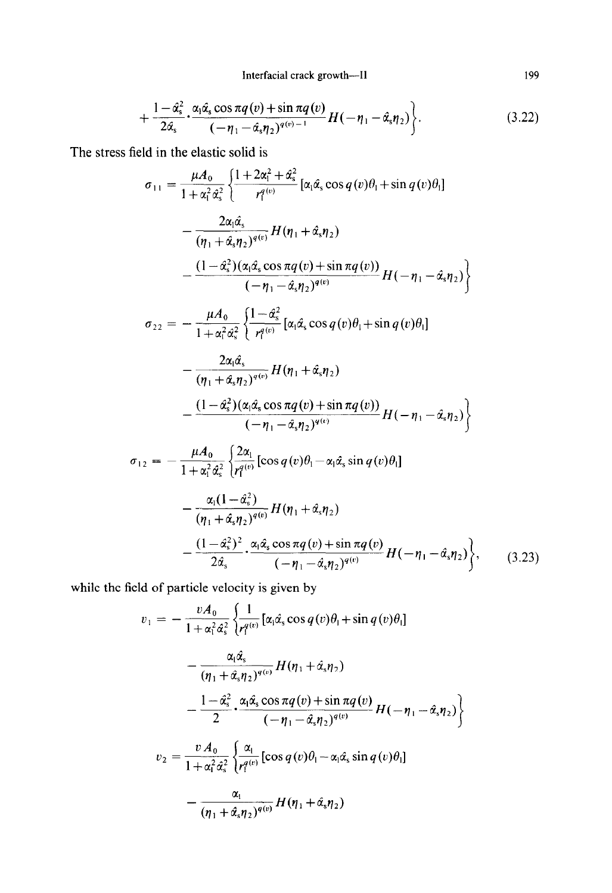Interfacial crack growth--II

$$
+\frac{1-\hat{\alpha}_{\mathrm{s}}^2}{2\hat{\alpha}_{\mathrm{s}}}\cdot\frac{\alpha_1\hat{\alpha}_{\mathrm{s}}\cos\pi q\left(v\right)+\sin\pi q\left(v\right)}{\left(-\eta_1-\hat{\alpha}_{\mathrm{s}}\eta_2\right)^{q\left(v\right)-1}}H\left(-\eta_1-\hat{\alpha}_{\mathrm{s}}\eta_2\right)\bigg\}.\tag{3.22}
$$

The stress field in the elastic solid is

$$
\sigma_{11} = \frac{\mu A_0}{1 + \alpha_1^2 \alpha_s^2} \left\{ \frac{1 + 2\alpha_1^2 + \alpha_s^2}{r_1^{q(v)}} [\alpha_1 \hat{\alpha}_s \cos q(v)\theta_1 + \sin q(v)\theta_1] - \frac{2\alpha_1 \hat{\alpha}_s}{(\eta_1 + \hat{\alpha}_s \eta_2)^{q(v)}} H(\eta_1 + \hat{\alpha}_s \eta_2) - \frac{(1 - \hat{\alpha}_s^2)(\alpha_1 \hat{\alpha}_s \cos \pi q(v) + \sin \pi q(v))}{(-\eta_1 - \hat{\alpha}_s \eta_2)^{q(v)}} H(-\eta_1 - \hat{\alpha}_s \eta_2) \right\}
$$
  

$$
\sigma_{22} = -\frac{\mu A_0}{1 + \alpha_1^2 \hat{\alpha}_s^2} \left\{ \frac{1 - \hat{\alpha}_s^2}{r_1^{q(v)}} [\alpha_1 \hat{\alpha}_s \cos q(v)\theta_1 + \sin q(v)\theta_1] - \frac{2\alpha_1 \hat{\alpha}_s}{(\eta_1 + \hat{\alpha}_s \eta_2)^{q(v)}} H(\eta_1 + \hat{\alpha}_s \eta_2) - \frac{(1 - \hat{\alpha}_s^2)(\alpha_1 \hat{\alpha}_s \cos \pi q(v) + \sin \pi q(v))}{(-\eta_1 - \hat{\alpha}_s \eta_2)^{q(v)}} H(-\eta_1 - \hat{\alpha}_s \eta_2) \right\}
$$
  

$$
\sigma_{12} = -\frac{\mu A_0}{1 + \alpha_1^2 \hat{\alpha}_s^2} \left\{ \frac{2\alpha_1}{r_1^{q(v)}} [\cos q(v)\theta_1 - \alpha_1 \hat{\alpha}_s \sin q(v)\theta_1] - \frac{\alpha_1(1 - \hat{\alpha}_s^2)}{(\alpha_1^2 - \hat{\alpha}_s^2)} H(\eta_1 + \hat{\alpha}_s \eta_2) \right\}
$$

$$
(\eta_1 + \hat{\alpha}_s \eta_2)^{q(v)} \frac{H(\eta_1 + \hat{\alpha}_s \eta_2)}{2\hat{\alpha}_s} + \frac{\alpha_1 \hat{\alpha}_s \cos \pi q(v) + \sin \pi q(v)}{(-\eta_1 - \hat{\alpha}_s \eta_2)^{q(v)}} H(-\eta_1 - \hat{\alpha}_s \eta_2) \bigg\}, \qquad (3.23)
$$

while the field of particle velocity is given by

$$
v_1 = -\frac{vA_0}{1 + \alpha_1^2 \alpha_s^2} \left\{ \frac{1}{r_1^{q(v)}} [\alpha_1 \hat{\alpha}_s \cos q(v)\theta_1 + \sin q(v)\theta_1] - \frac{\alpha_1 \hat{\alpha}_s}{(\eta_1 + \hat{\alpha}_s \eta_2)^{q(v)}} H(\eta_1 + \hat{\alpha}_s \eta_2) - \frac{1 - \hat{\alpha}_s^2}{2} \cdot \frac{\alpha_1 \hat{\alpha}_s \cos \pi q(v) + \sin \pi q(v)}{(-\eta_1 - \hat{\alpha}_s \eta_2)^{q(v)}} H(-\eta_1 - \hat{\alpha}_s \eta_2) \right\}
$$
  

$$
v_2 = \frac{vA_0}{1 + \alpha_1^2 \hat{\alpha}_s^2} \left\{ \frac{\alpha_1}{r_1^{q(v)}} [\cos q(v)\theta_1 - \alpha_1 \hat{\alpha}_s \sin q(v)\theta_1] - \frac{\alpha_1}{(\eta_1 + \hat{\alpha}_s \eta_2)^{q(v)}} H(\eta_1 + \hat{\alpha}_s \eta_2) \right\}
$$

199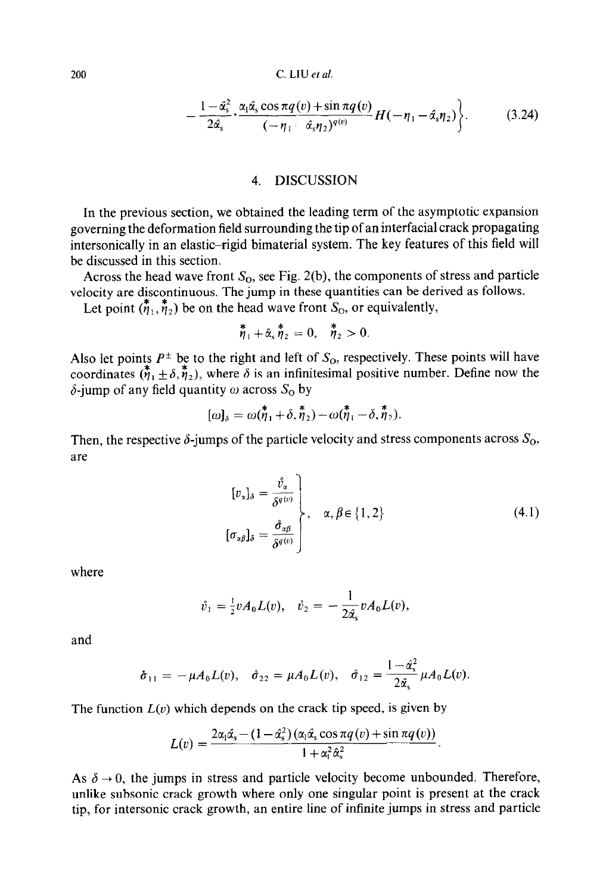$$
-\frac{1-\hat{\alpha}_{\mathrm{s}}^2}{2\hat{\alpha}_{\mathrm{s}}}\cdot\frac{\alpha_1\hat{\alpha}_{\mathrm{s}}\cos\pi q\left(v\right)+\sin\pi q\left(v\right)}{(-\eta_1-\hat{\alpha}_{\mathrm{s}}\eta_2)^{q\left(v\right)}}H(-\eta_1-\hat{\alpha}_{\mathrm{s}}\eta_2)\bigg\}.\tag{3.24}
$$

#### *4.* DISCUSSION

In the previous section, we obtained the leading term of the asymptotic expansion governing the deformation field surrounding the tip of an interfacial crack propagating intersonically in an elastic-rigid bimaterial system. The key features of this field will be discussed in this section.

Across the head wave front  $S_0$ , see Fig. 2(b), the components of stress and particle velocity are discontinuous. The jump in these quantities can be derived as follows.

Let point  $(\eta_1, \eta_2)$  be on the head wave front  $S_0$ , or equivalently,

$$
\stackrel{\textbf{w}}{\eta}_1+\hat{\alpha}_s\stackrel{\textbf{w}}{\eta}_2=0,\quad \stackrel{\textbf{w}}{\eta}_2>0.
$$

Also let points  $P^{\pm}$  be to the right and left of  $S_{\Omega}$ , respectively. These points will have coordinates  $(\eta_1 + \delta, \eta_2)$ , where  $\delta$  is an infinitesimal positive number. Define now the  $\delta$ -jump of any field quantity  $\omega$  across  $S_0$  by

$$
[\omega]_{\delta} = \omega(\overset{\ast}{\eta}_1 + \delta, \overset{\ast}{\eta}_2) - \omega(\overset{\ast}{\eta}_1 - \delta, \overset{\ast}{\eta}_2).
$$

Then, the respective  $\delta$ -jumps of the particle velocity and stress components across  $S_0$ , are

$$
\begin{aligned}\n[v_{\alpha}]_{\delta} &= \frac{\mathring{v}_{\alpha}}{\delta^{q(v)}} \\
[\sigma_{\alpha\beta}]_{\delta} &= \frac{\mathring{\sigma}_{\alpha\beta}}{\delta^{q(v)}}\n\end{aligned}\n\bigg\}, \quad \alpha, \beta \in \{1, 2\}\n\tag{4.1}
$$

where

$$
\mathring{v}_1 = \frac{1}{2}v A_0 L(v), \quad \mathring{v}_2 = -\frac{1}{2\hat{\alpha}_s}v A_0 L(v),
$$

and

$$
\dot{\sigma}_{11} = -\mu A_0 L(v), \quad \dot{\sigma}_{22} = \mu A_0 L(v), \quad \dot{\sigma}_{12} = \frac{1 - \hat{\alpha}_{s}^2}{2\hat{\alpha}_{s}} \mu A_0 L(v).
$$

The function  $L(v)$  which depends on the crack tip speed, is given by

$$
L(v) = \frac{2\alpha_1\hat{\alpha}_s - (1 - \hat{\alpha}_s^2)\left(\alpha_1\hat{\alpha}_s\cos\pi q\left(v\right) + \sin\pi q\left(v\right)\right)}{1 + \alpha_1^2\hat{\alpha}_s^2}
$$

As  $\delta \rightarrow 0$ , the jumps in stress and particle velocity become unbounded. Therefore, unlike subsonic crack growth where only one singular point is present at the crack tip, for intersonic crack growth, an entire line of infinite jumps in stress and particle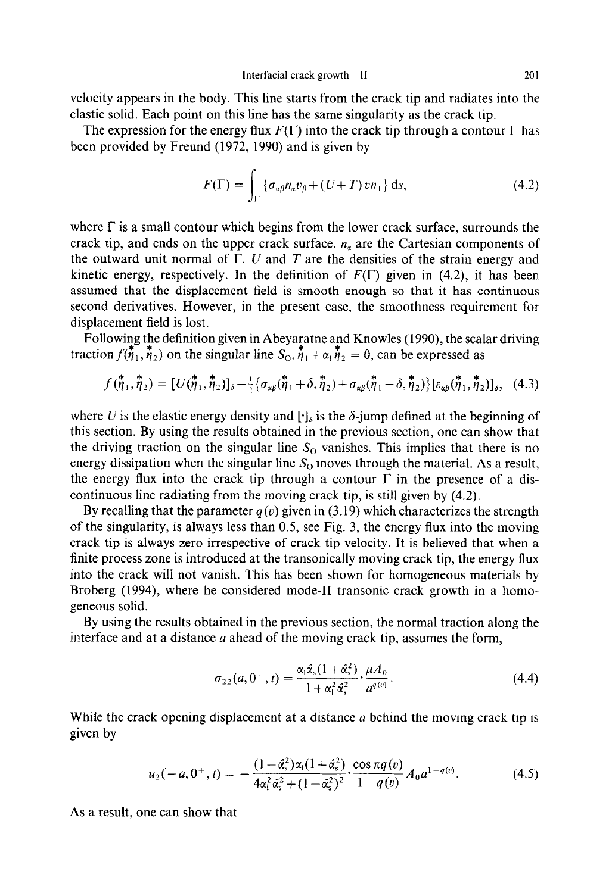velocity appears in the body. This line starts from the crack tip and radiates into the elastic solid. Each point on this line has the same singularity as the crack tip.

The expression for the energy flux  $F(\Gamma)$  into the crack tip through a contour  $\Gamma$  has been provided by Freund (1972, 1990) and is given by

$$
F(\Gamma) = \int_{\Gamma} \left\{ \sigma_{\alpha\beta} n_{\alpha} v_{\beta} + (U + T) v n_1 \right\} \mathrm{d}s, \tag{4.2}
$$

where  $\Gamma$  is a small contour which begins from the lower crack surface, surrounds the crack tip, and ends on the upper crack surface.  $n<sub>x</sub>$  are the Cartesian components of the outward unit normal of  $\Gamma$ . U and T are the densities of the strain energy and kinetic energy, respectively. In the definition of  $F(\Gamma)$  given in (4.2), it has been assumed that the displacement field is smooth enough so that it has continuous second derivatives. However, in the present case, the smoothness requirement for displacement field is lost.

Following the definition given in Abeyaratne and Knowles (1990), the scalar driving traction  $f(\overline{\eta}_1, \overline{\eta}_2)$  on the singular line  $S_0, \overline{\eta}_1 + \alpha_1 \overline{\eta}_2 = 0$ , can be expressed as

$$
f(\stackrel{\ast}{\eta}_1, \stackrel{\ast}{\eta}_2) = [U(\stackrel{\ast}{\eta}_1, \stackrel{\ast}{\eta}_2)]_{\delta} - \frac{1}{2} \{\sigma_{\alpha\beta}(\stackrel{\ast}{\eta}_1 + \delta, \stackrel{\ast}{\eta}_2) + \sigma_{\alpha\beta}(\stackrel{\ast}{\eta}_1 - \delta, \stackrel{\ast}{\eta}_2)\} [\varepsilon_{\alpha\beta}(\stackrel{\ast}{\eta}_1, \stackrel{\ast}{\eta}_2)]_{\delta}, \quad (4.3)
$$

where U is the elastic energy density and  $[\cdot]_6$  is the  $\delta$ -jump defined at the beginning of this section. By using the results obtained in the previous section, one can show that the driving traction on the singular line  $S_0$  vanishes. This implies that there is no energy dissipation when the singular line  $S_0$  moves through the material. As a result, the energy flux into the crack tip through a contour  $\Gamma$  in the presence of a discontinuous line radiating from the moving crack tip, is still given by (4.2).

By recalling that the parameter  $q(v)$  given in (3.19) which characterizes the strength of the singularity, is always less than 0.5, see Fig. 3, the energy flux into the moving crack tip is always zero irrespective of crack tip velocity. It is believed that when a finite process zone is introduced at the transonically moving crack tip, the energy flux into the crack will not vanish. This has been shown for homogeneous materials by Broberg (1994), where he considered mode-II transonic crack growth in a homogeneous solid.

By using the results obtained in the previous section, the normal traction along the interface and at a distance  $a$  ahead of the moving crack tip, assumes the form,

$$
\sigma_{22}(a, 0^+, t) = \frac{\alpha_1 \hat{\alpha}_s (1 + \hat{\alpha}_s^2)}{1 + \alpha_1^2 \hat{\alpha}_s^2} \cdot \frac{\mu A_0}{a^{q(v)}}.
$$
\n(4.4)

While the crack opening displacement at a distance  $a$  behind the moving crack tip is given by

$$
u_2(-a, 0^+, t) = -\frac{(1-\hat{\alpha}_s^2)\alpha_1(1+\hat{\alpha}_s^2)}{4\alpha_1^2\hat{\alpha}_s^2 + (1-\hat{\alpha}_s^2)^2} \cdot \frac{\cos \pi q(v)}{1-q(v)} A_0 a^{1-q(v)}.
$$
 (4.5)

As a result, one can show that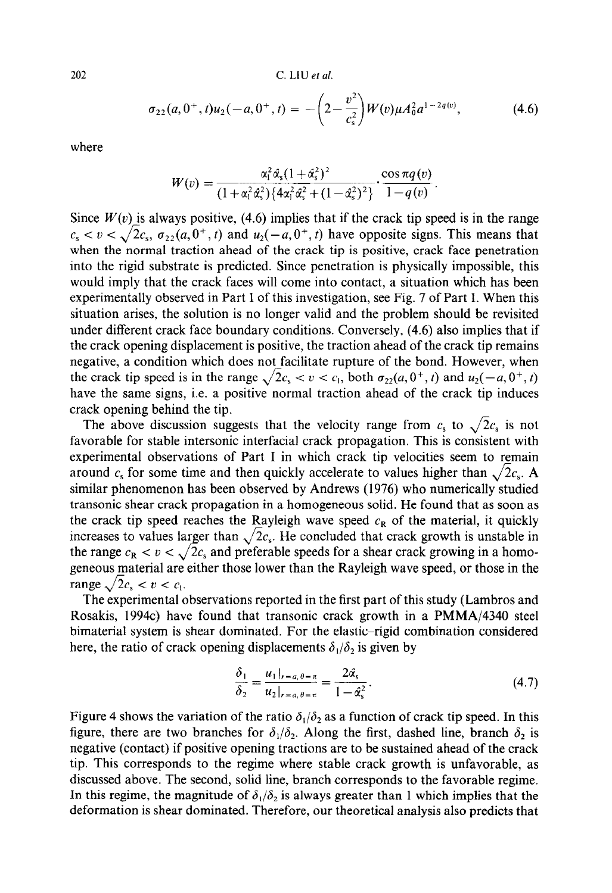$$
\sigma_{22}(a,0^+,t)u_2(-a,0^+,t) = -\left(2-\frac{v^2}{c_s^2}\right)W(v)\mu A_0^2 a^{1-2q(v)},\tag{4.6}
$$

where

$$
W(v)=\frac{\alpha_1^2\hat{\alpha}_s(1+\hat{\alpha}_s^2)^2}{(1+\alpha_1^2\hat{\alpha}_s^2)\{4\alpha_1^2\hat{\alpha}_s^2+(1-\hat{\alpha}_s^2)^2\}}\cdot\frac{\cos \pi q(v)}{1-q(v)}.
$$

Since  $W(v)$  is always positive, (4.6) implies that if the crack tip speed is in the range  $c_s < v < \sqrt{2c_s}$ ,  $\sigma_{22}(a, 0^+, t)$  and  $u_2(-a, 0^+, t)$  have opposite signs. This means that when the normal traction ahead of the crack tip is positive, crack face penetration into the rigid substrate is predicted. Since penetration is physically impossible, this would imply that the crack faces will come into contact, a situation which has been experimentally observed in Part I of this investigation, see Fig. 7 of Part I. When this situation arises, the solution is no longer valid and the problem should be revisited under different crack face boundary conditions. Conversely, (4.6) also implies that if the crack opening displacement is positive, the traction ahead of the crack tip remains negative, a condition which does not facilitate rupture of the bond. However, when the crack tip speed is in the range  $\sqrt{2c_s} < v < c_1$ , both  $\sigma_{22}(a, 0^+, t)$  and  $u_2(-a, 0^+, t)$ have the same signs, i.e. a positive normal traction ahead of the crack tip induces crack opening behind the tip.

The above discussion suggests that the velocity range from  $c_s$  to  $\sqrt{2}c_s$  is not favorable for stable intersonic interfacial crack propagation. This is consistent with experimental observations of Part I in which crack tip velocities seem to remain around  $c_s$  for some time and then quickly accelerate to values higher than  $\sqrt{2c_s}$ . A similar phenomenon has been observed by Andrews (1976) who numerically studied transonic shear crack propagation in a homogeneous solid. He found that as soon as the crack tip speed reaches the Rayleigh wave speed  $c_R$  of the material, it quickly increases to values larger than  $\sqrt{2c_s}$ . He concluded that crack growth is unstable in the range  $c_R < v < \sqrt{2c_s}$  and preferable speeds for a shear crack growing in a homogeneous material are either those lower than the Rayleigh wave speed, or those in the range  $\sqrt{2c_s} < v < c_1$ .

The experimental observations reported in the first part of this study (Lambros and Rosakis, 1994c) have found that transonic crack growth in a PMMA/4340 steel bimaterial system is shear dominated. For the elastic-rigid combination considered here, the ratio of crack opening displacements  $\delta_1/\delta_2$  is given by

$$
\frac{\delta_1}{\delta_2} = \frac{u_1|_{r=a,\theta=\pi}}{u_2|_{r=a,\theta=\pi}} = \frac{2\hat{\alpha}_s}{1-\hat{\alpha}_s^2}.
$$
\n(4.7)

Figure 4 shows the variation of the ratio  $\delta_1/\delta_2$  as a function of crack tip speed. In this figure, there are two branches for  $\delta_1/\delta_2$ . Along the first, dashed line, branch  $\delta_2$  is negative (contact) if positive opening tractions are to be sustained ahead of the crack tip. This corresponds to the regime where stable crack growth is unfavorable, as discussed above. The second, solid line, branch corresponds to the favorable regime. In this regime, the magnitude of  $\delta_1/\delta_2$  is always greater than 1 which implies that the deformation is shear dominated. Therefore, our theoretical analysis also predicts that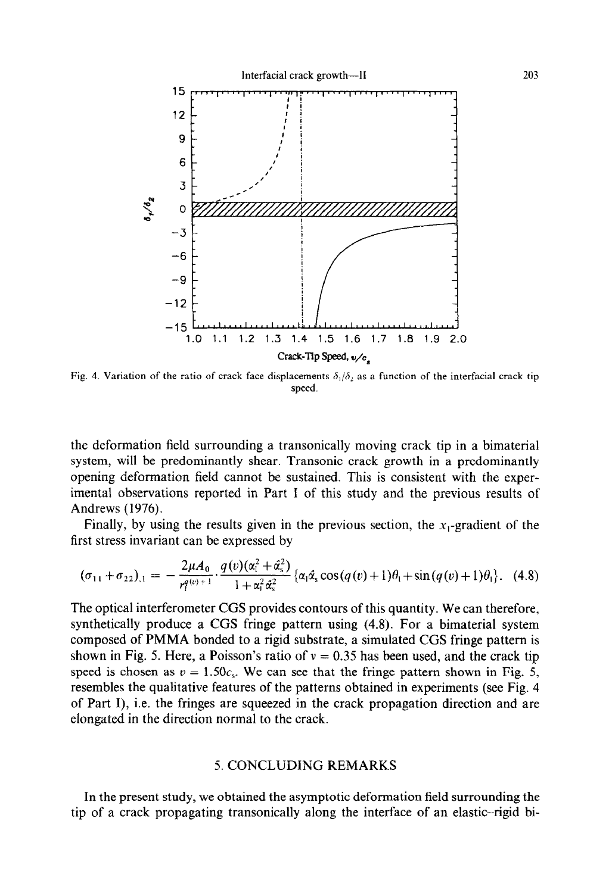

Fig. 4. Variation of the ratio of crack face displacements  $\delta_1/\delta_2$  as a function of the interfacial crack tip speed.

the deformation field surrounding a transonically moving crack tip in a bimaterial system, will be predominantly shear. Transonic crack growth in a predominantly opening deformation field cannot be sustained. This is consistent with the experimental observations reported in Part I of this study and the previous results of Andrews (1976).

Finally, by using the results given in the previous section, the  $x_1$ -gradient of the first stress invariant can be expressed by

$$
(\sigma_{11} + \sigma_{22})_{,1} = -\frac{2\mu A_0}{r_1^{q(v)+1}} \cdot \frac{q(v)(\alpha_1^2 + \alpha_2^2)}{1 + \alpha_1^2 \alpha_2^2} \left\{ \alpha_1 \hat{\alpha}_s \cos(q(v) + 1)\theta_1 + \sin(q(v) + 1)\theta_1 \right\}.
$$
 (4.8)

The optical interferometer CGS provides contours of this quantity. We can therefore, synthetically produce a CGS fringe pattern using (4.8). For a bimaterial system composed of PMMA bonded to a rigid substrate, a simulated CGS fringe pattern is shown in Fig. 5. Here, a Poisson's ratio of  $v = 0.35$  has been used, and the crack tip speed is chosen as  $v = 1.50c_s$ . We can see that the fringe pattern shown in Fig. 5, resembles the qualitative features of the patterns obtained in experiments (see Fig. 4 of Part I), i.e. the fringes are squeezed in the crack propagation direction and are elongated in the direction normal to the crack.

#### 5. CONCLUDING REMARKS

In the present study, we obtained the asymptotic deformation field surrounding the tip of a crack propagating transonically along the interface of an elastic-rigid bi-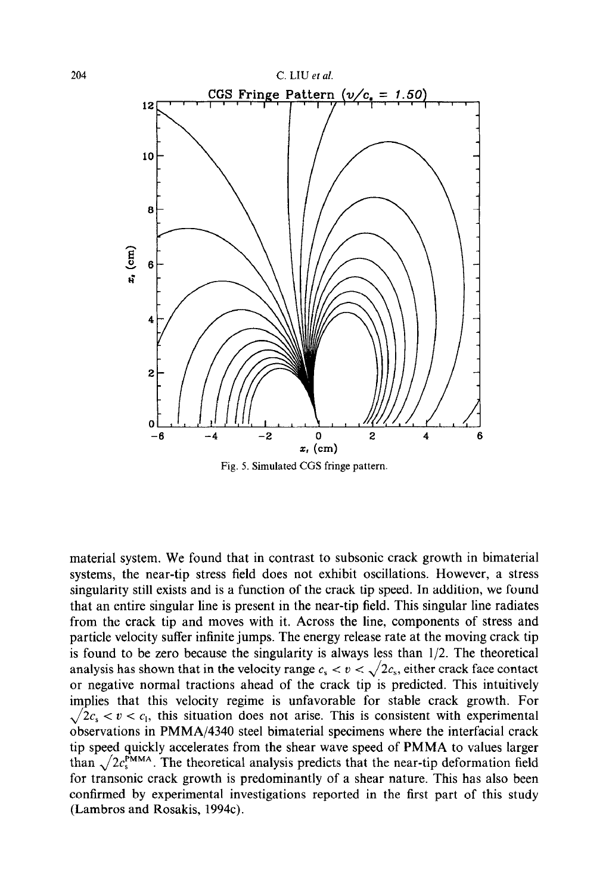

Fig. 5. Simulated CGS fringe pattern.

material system. We found that in contrast to subsonic crack growth in bimaterial systems, the near-tip stress field does not exhibit oscillations. However, a stress singularity still exists and is a function of the crack tip speed. In addition, we found that an entire singular line is present in the near-tip field. This singular line radiates from the crack tip and moves with it. Across the line, components of stress and particle velocity suffer infinite jumps. The energy release rate at the moving crack tip is found to be zero because the singularity is always less than  $1/2$ . The theoretical analysis has shown that in the velocity range  $c_s < v < \sqrt{2c_s}$ , either crack face contact or negative normal tractions ahead of the crack tip is predicted. This intuitively implies that this velocity regime is unfavorable for stable crack growth. For  $\sqrt{2c_s} < v < c_1$ , this situation does not arise. This is consistent with experimental observations in PMMA/4340 steel bimaterial specimens where the interfacial crack tip speed quickly accelerates from the shear wave speed of PMMA to values larger than  $\sqrt{2}c_s^{\text{PMMA}}$ . The theoretical analysis predicts that the near-tip deformation field for transonic crack growth is predominantly of a shear nature. This has also been confirmed by experimental investigations reported in the first part of this study (Lambros and Rosakis, 1994c).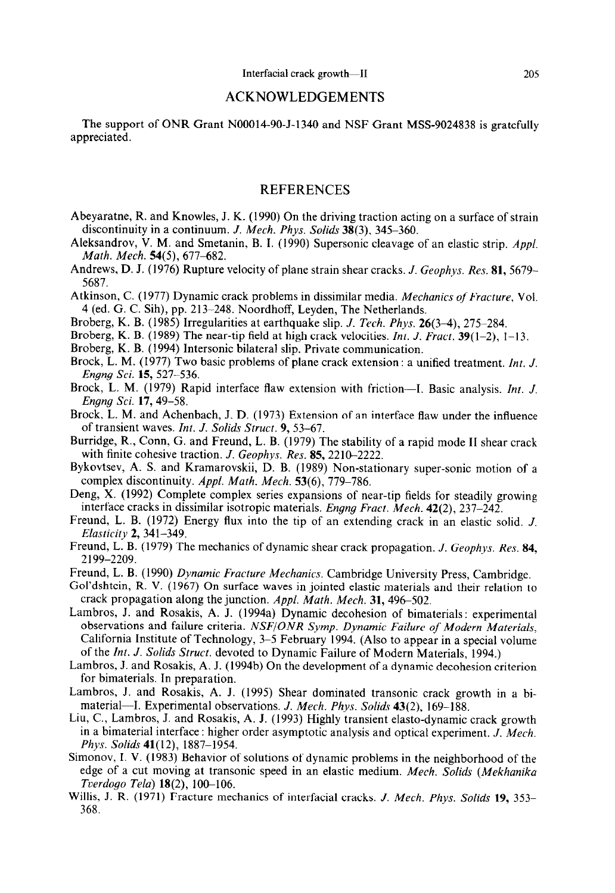#### ACKNOWLEDGEMENTS

The support of ONR Grant NOOOl4-90-J-1340 and NSF Grant MSS-9024838 is gratefully appreciated.

### **REFERENCES**

- Abeyaratne, R. and Knowles, J. K. (1990) On the driving traction acting on a surface of strain discontinuity in a continuum. J. *Mech. Phys. Solids* 38(3), 345-360.
- Aleksandrov, V. M. and Smetanin, B. I. (1990) Supersonic cleavage of an elastic strip. Appl. *Math. Mech.* 54(5), 677-682.
- Andrews, D. J. (1976) Rupture velocity of plane strain shear cracks. *J. Geophys. Res.* 81, 5679– 5687.
- Atkinson, C. (1977) Dynamic crack problems in dissimilar media. *Mechanics of Fracture,* Vol. *4* (ed. G. C. Sih), pp. 213-248. Noordhoff, Leyden, The Netherlands.
- Broberg, K. B. (1985) Irregularities at earthquake slip. J. *Tech. Phys. 26(34), 275-284.*
- Broberg, K. B. (1989) The near-tip field at high crack velocities. *Int. J. Fract.* 39(1–2), 1–13.
- Broberg, K. B. (1994) Intersonic bilateral slip. Private communication.
- Brock, L. M. (1977) Two basic problems of plane crack extension : a unified treatment. Int. J. *Engng Sci.* 15,527-536.
- Brock, L. M. (1979) Rapid interface flaw extension with friction---I. Basic analysis. Int. J. *Engng Sci.* 17,49-58.
- Brock, L. M. and Achenbach, J. D. (1973) Extension of an interface flaw under the influence of transient waves. ht. *J. Solids Strut. 9, 53-67.*
- Burridge, R., Conn, G. and Freund, L. B. (1979) The stability of a rapid mode II shear crack with finite cohesive traction. *J. Geophys. Res.* 85, 2210-2222.
- Bykovtsev, A. S. and Kramarovskii, D. B. (1989) Non-stationary super-sonic motion of a complex discontinuity. *Appl. Math. Mech. 53(6), 779-786.*
- Deng, X. (1992) Complete complex series expansions of near-tip fields for steadily growing interface cracks in dissimilar isotropic materials. *Engng Fract. Mech. 42(2), 237-242.*
- Freund, L. B. (1972) Energy flux into the tip of an extending crack in an elastic solid. *J. Elasticity 2, 341-349.*
- Freund, L. B. (1979) The mechanics of dynamic shear crack propagation. *J. Geophys. Res. 84, 2199-2209.*
- Freund, L. B. (1990) *Dynamic Fracture Mechanics.* Cambridge University Press, Cambridge.
- Gol'dshtein, R. V. (1967) On surface waves in jointed elastic materials and their relation to crack propagation along the junction. *Appl. Math. Mech.* 31, 496–502.
- Lambros, J. and Rosakis, A. J. (1994a) Dynamic decohesion of bimaterials : experimental observations and failure criteria. *NSF/ONR Symp. Dynamic Failure of Modern Materials,*  California Institute of Technology, 3-5 February 1994. (Also to appear in a special volume of the ht. *J. Solids Struct.* devoted to Dynamic Failure of Modern Materials, 1994.)
- Lambros, J. and Rosakis, A. J. (1994b) On the development of a dynamic decohesion criterion for bimaterials. In preparation.
- Lambros, J. and Rosakis, A. J. (1995) Shear dominated transonic crack growth in a bimaterial-I. Experimental observations. *J. Mech. Phys. Solids 43(2),* 169-188.
- Liu, C., Lambros, J. and Rosakis, A. J. (1993) Highly transient elasto-dynamic crack growth in a bimaterial interface : higher order asymptotic analysis and optical experiment. *J. Mech.*  Phys. *Solids* 41(12), 1887-1954.
- Simonov, I. V. (1983) Behavior of solutions of dynamic problems in the neighborhood of the edge of a cut moving at transonic speed in an elastic medium. *Mech. Solids (Mekhanika Tverdogo Tela*) **18**(2), 100-106.
- Willis, J. R. (1971) Fracture mechanics of interfacial cracks. *J. Mech. Phys. Solids* 19, 353– *368.*